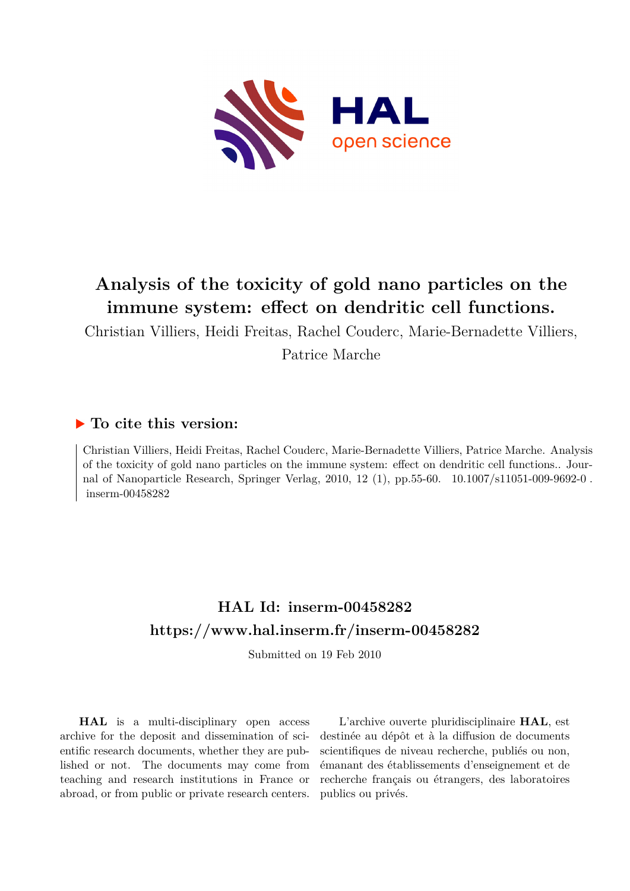

# **Analysis of the toxicity of gold nano particles on the immune system: effect on dendritic cell functions.**

Christian Villiers, Heidi Freitas, Rachel Couderc, Marie-Bernadette Villiers, Patrice Marche

# **To cite this version:**

Christian Villiers, Heidi Freitas, Rachel Couderc, Marie-Bernadette Villiers, Patrice Marche. Analysis of the toxicity of gold nano particles on the immune system: effect on dendritic cell functions.. Journal of Nanoparticle Research, Springer Verlag, 2010, 12 (1), pp.55-60. 10.1007/s11051-009-9692-0.  $inserm-00458282$ 

# **HAL Id: inserm-00458282 <https://www.hal.inserm.fr/inserm-00458282>**

Submitted on 19 Feb 2010

**HAL** is a multi-disciplinary open access archive for the deposit and dissemination of scientific research documents, whether they are published or not. The documents may come from teaching and research institutions in France or abroad, or from public or private research centers.

L'archive ouverte pluridisciplinaire **HAL**, est destinée au dépôt et à la diffusion de documents scientifiques de niveau recherche, publiés ou non, émanant des établissements d'enseignement et de recherche français ou étrangers, des laboratoires publics ou privés.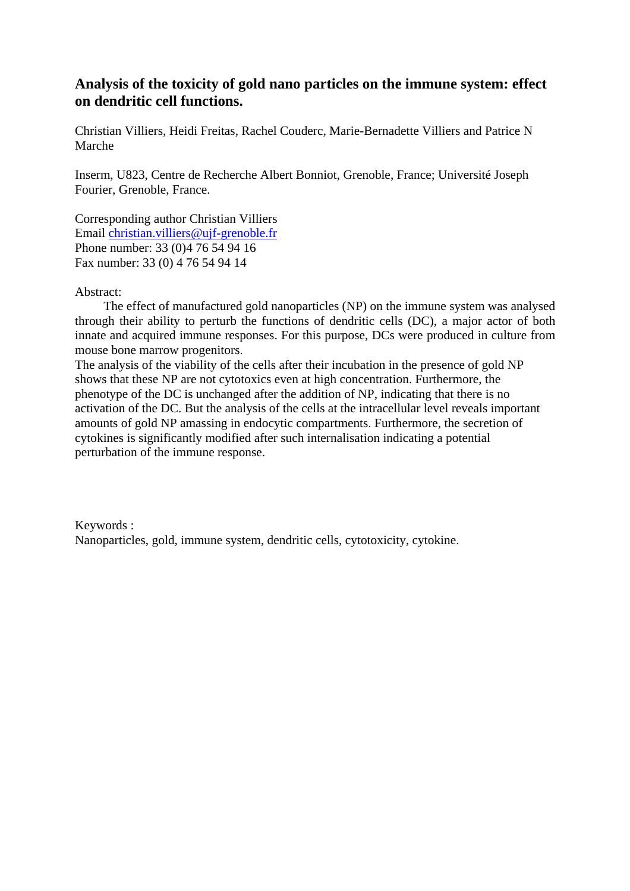# **Analysis of the toxicity of gold nano particles on the immune system: effect on dendritic cell functions.**

Christian Villiers, Heidi Freitas, Rachel Couderc, Marie-Bernadette Villiers and Patrice N Marche

Inserm, U823, Centre de Recherche Albert Bonniot, Grenoble, France; Université Joseph Fourier, Grenoble, France.

Corresponding author Christian Villiers Email [christian.villiers@ujf-grenoble.fr](mailto:christian.villiers@ujf-grenoble.fr) Phone number: 33 (0)4 76 54 94 16 Fax number: 33 (0) 4 76 54 94 14

### Abstract:

The effect of manufactured gold nanoparticles (NP) on the immune system was analysed through their ability to perturb the functions of dendritic cells (DC), a major actor of both innate and acquired immune responses. For this purpose, DCs were produced in culture from mouse bone marrow progenitors.

The analysis of the viability of the cells after their incubation in the presence of gold NP shows that these NP are not cytotoxics even at high concentration. Furthermore, the phenotype of the DC is unchanged after the addition of NP, indicating that there is no activation of the DC. But the analysis of the cells at the intracellular level reveals important amounts of gold NP amassing in endocytic compartments. Furthermore, the secretion of cytokines is significantly modified after such internalisation indicating a potential perturbation of the immune response.

Keywords : Nanoparticles, gold, immune system, dendritic cells, cytotoxicity, cytokine.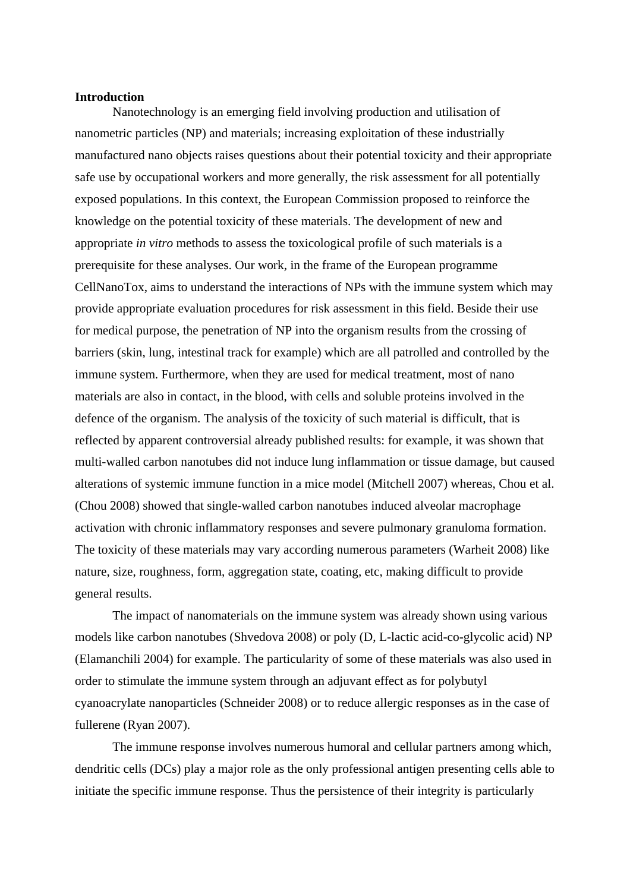#### **Introduction**

Nanotechnology is an emerging field involving production and utilisation of nanometric particles (NP) and materials; increasing exploitation of these industrially manufactured nano objects raises questions about their potential toxicity and their appropriate safe use by occupational workers and more generally, the risk assessment for all potentially exposed populations. In this context, the European Commission proposed to reinforce the knowledge on the potential toxicity of these materials. The development of new and appropriate *in vitro* methods to assess the toxicological profile of such materials is a prerequisite for these analyses. Our work, in the frame of the European programme CellNanoTox, aims to understand the interactions of NPs with the immune system which may provide appropriate evaluation procedures for risk assessment in this field. Beside their use for medical purpose, the penetration of NP into the organism results from the crossing of barriers (skin, lung, intestinal track for example) which are all patrolled and controlled by the immune system. Furthermore, when they are used for medical treatment, most of nano materials are also in contact, in the blood, with cells and soluble proteins involved in the defence of the organism. The analysis of the toxicity of such material is difficult, that is reflected by apparent controversial already published results: for example, it was shown that multi-walled carbon nanotubes did not induce lung inflammation or tissue damage, but caused alterations of systemic immune function in a mice model (Mitchell 2007) whereas, Chou et al. (Chou 2008) showed that single-walled carbon nanotubes induced alveolar macrophage activation with chronic inflammatory responses and severe pulmonary granuloma formation. The toxicity of these materials may vary according numerous parameters (Warheit 2008) like nature, size, roughness, form, aggregation state, coating, etc, making difficult to provide general results.

The impact of nanomaterials on the immune system was already shown using various models like carbon nanotubes (Shvedova 2008) or poly (D, L-lactic acid-co-glycolic acid) NP (Elamanchili 2004) for example. The particularity of some of these materials was also used in order to stimulate the immune system through an adjuvant effect as for polybutyl cyanoacrylate nanoparticles (Schneider 2008) or to reduce allergic responses as in the case of fullerene (Ryan 2007).

The immune response involves numerous humoral and cellular partners among which, dendritic cells (DCs) play a major role as the only professional antigen presenting cells able to initiate the specific immune response. Thus the persistence of their integrity is particularly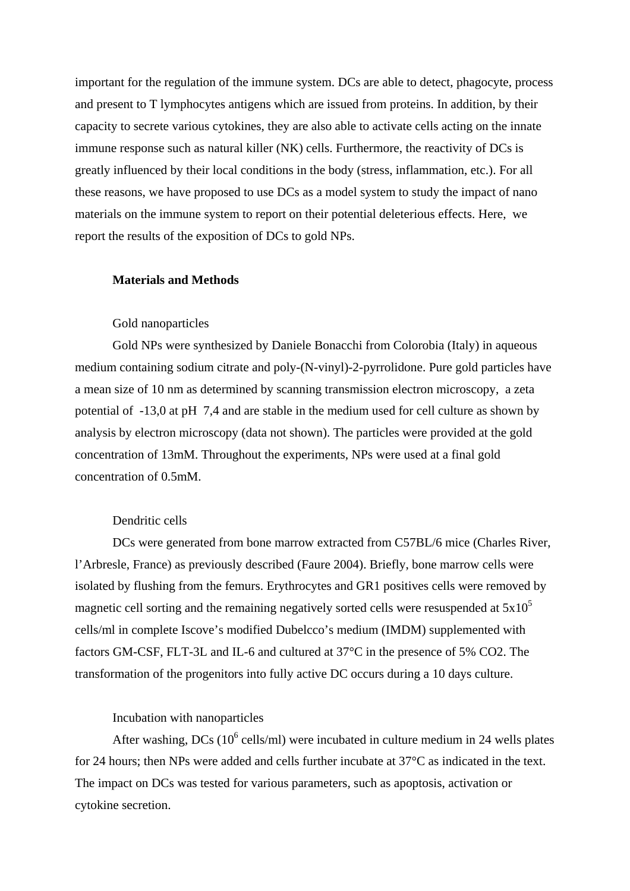important for the regulation of the immune system. DCs are able to detect, phagocyte, process and present to T lymphocytes antigens which are issued from proteins. In addition, by their capacity to secrete various cytokines, they are also able to activate cells acting on the innate immune response such as natural killer (NK) cells. Furthermore, the reactivity of DCs is greatly influenced by their local conditions in the body (stress, inflammation, etc.). For all these reasons, we have proposed to use DCs as a model system to study the impact of nano materials on the immune system to report on their potential deleterious effects. Here, we report the results of the exposition of DCs to gold NPs.

#### **Materials and Methods**

#### Gold nanoparticles

Gold NPs were synthesized by Daniele Bonacchi from Colorobia (Italy) in aqueous medium containing sodium citrate and poly-(N-vinyl)-2-pyrrolidone. Pure gold particles have a mean size of 10 nm as determined by scanning transmission electron microscopy, a zeta potential of -13,0 at pH 7,4 and are stable in the medium used for cell culture as shown by analysis by electron microscopy (data not shown). The particles were provided at the gold concentration of 13mM. Throughout the experiments, NPs were used at a final gold concentration of 0.5mM.

#### Dendritic cells

DCs were generated from bone marrow extracted from C57BL/6 mice (Charles River, l'Arbresle, France) as previously described (Faure 2004). Briefly, bone marrow cells were isolated by flushing from the femurs. Erythrocytes and GR1 positives cells were removed by magnetic cell sorting and the remaining negatively sorted cells were resuspended at  $5x10<sup>5</sup>$ cells/ml in complete Iscove's modified Dubelcco's medium (IMDM) supplemented with factors GM-CSF, FLT-3L and IL-6 and cultured at 37°C in the presence of 5% CO2. The transformation of the progenitors into fully active DC occurs during a 10 days culture.

#### Incubation with nanoparticles

After washing, DCs  $(10^6 \text{ cells/ml})$  were incubated in culture medium in 24 wells plates for 24 hours; then NPs were added and cells further incubate at 37°C as indicated in the text. The impact on DCs was tested for various parameters, such as apoptosis, activation or cytokine secretion.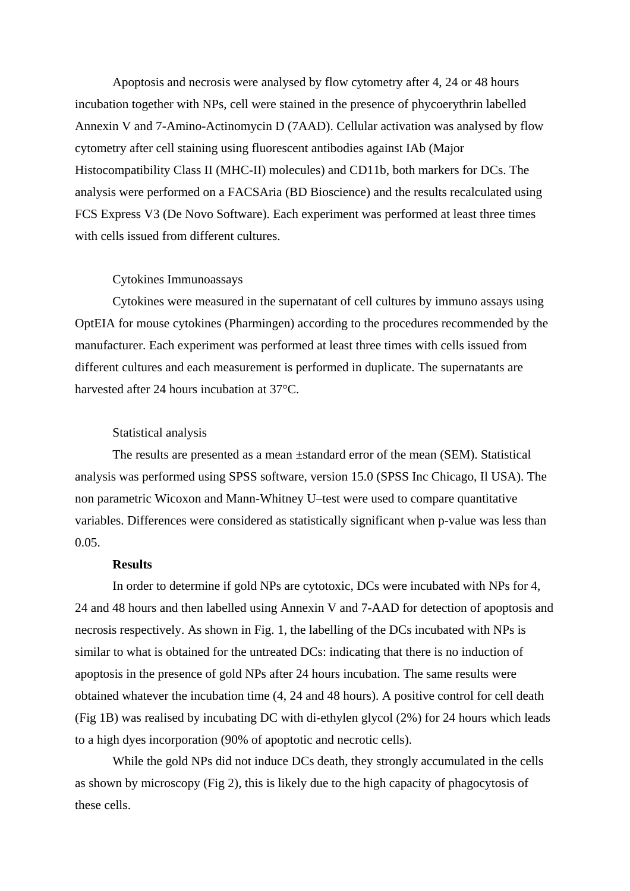Apoptosis and necrosis were analysed by flow cytometry after 4, 24 or 48 hours incubation together with NPs, cell were stained in the presence of phycoerythrin labelled Annexin V and [7-Amino-Actinomycin](http://www.healthsystem.virginia.edu/internet/cytometry/protocols/7aad-staining-of-dead-cells.pdf) D (7AAD). Cellular activation was analysed by flow cytometry after cell staining using fluorescent antibodies against IAb (Major Histocompatibility Class II (MHC-II) molecules) and CD11b, both markers for DCs. The analysis were performed on a FACSAria (BD Bioscience) and the results recalculated using FCS Express V3 (De Novo Software). Each experiment was performed at least three times with cells issued from different cultures.

#### Cytokines Immunoassays

Cytokines were measured in the supernatant of cell cultures by immuno assays using OptEIA for mouse cytokines (Pharmingen) according to the procedures recommended by the manufacturer. Each experiment was performed at least three times with cells issued from different cultures and each measurement is performed in duplicate. The supernatants are harvested after 24 hours incubation at 37°C.

#### Statistical analysis

The results are presented as a mean ±standard error of the mean (SEM). Statistical analysis was performed using SPSS software, version 15.0 (SPSS Inc Chicago, Il USA). The non parametric Wicoxon and Mann-Whitney U–test were used to compare quantitative variables. Differences were considered as statistically significant when p-value was less than 0.05.

#### **Results**

In order to determine if gold NPs are cytotoxic, DCs were incubated with NPs for 4, 24 and 48 hours and then labelled using Annexin V and 7-AAD for detection of apoptosis and necrosis respectively. As shown in Fig. 1, the labelling of the DCs incubated with NPs is similar to what is obtained for the untreated DCs: indicating that there is no induction of apoptosis in the presence of gold NPs after 24 hours incubation. The same results were obtained whatever the incubation time (4, 24 and 48 hours). A positive control for cell death (Fig 1B) was realised by incubating DC with di-ethylen glycol (2%) for 24 hours which leads to a high dyes incorporation (90% of apoptotic and necrotic cells).

While the gold NPs did not induce DCs death, they strongly accumulated in the cells as shown by microscopy (Fig 2), this is likely due to the high capacity of phagocytosis of these cells.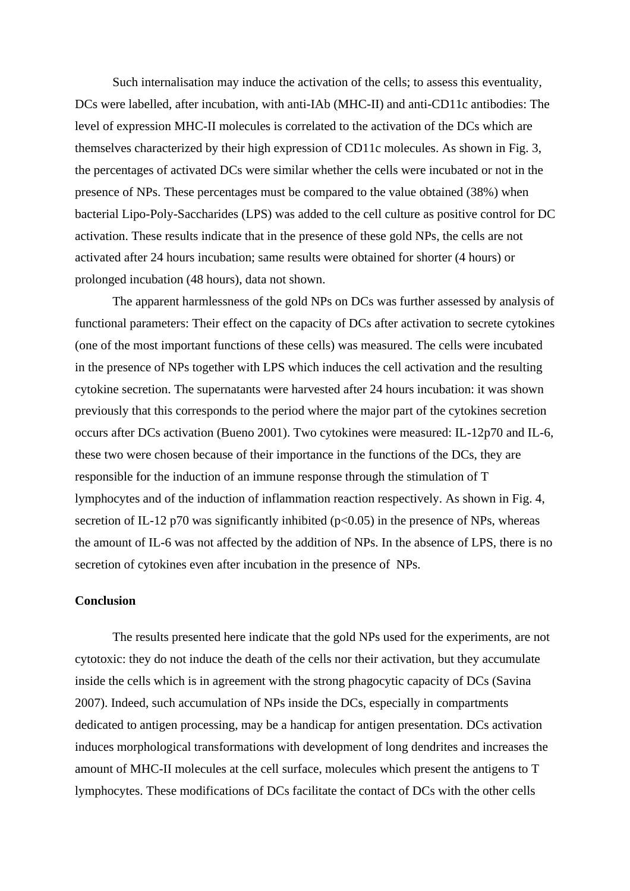Such internalisation may induce the activation of the cells; to assess this eventuality, DCs were labelled, after incubation, with anti-IAb (MHC-II) and anti-CD11c antibodies: The level of expression MHC-II molecules is correlated to the activation of the DCs which are themselves characterized by their high expression of CD11c molecules. As shown in Fig. 3, the percentages of activated DCs were similar whether the cells were incubated or not in the presence of NPs. These percentages must be compared to the value obtained (38%) when bacterial Lipo-Poly-Saccharides (LPS) was added to the cell culture as positive control for DC activation. These results indicate that in the presence of these gold NPs, the cells are not activated after 24 hours incubation; same results were obtained for shorter (4 hours) or prolonged incubation (48 hours), data not shown.

The apparent harmlessness of the gold NPs on DCs was further assessed by analysis of functional parameters: Their effect on the capacity of DCs after activation to secrete cytokines (one of the most important functions of these cells) was measured. The cells were incubated in the presence of NPs together with LPS which induces the cell activation and the resulting cytokine secretion. The supernatants were harvested after 24 hours incubation: it was shown previously that this corresponds to the period where the major part of the cytokines secretion occurs after DCs activation (Bueno 2001). Two cytokines were measured: IL-12p70 and IL-6, these two were chosen because of their importance in the functions of the DCs, they are responsible for the induction of an immune response through the stimulation of T lymphocytes and of the induction of inflammation reaction respectively. As shown in Fig. 4, secretion of IL-12 p70 was significantly inhibited ( $p<0.05$ ) in the presence of NPs, whereas the amount of IL-6 was not affected by the addition of NPs. In the absence of LPS, there is no secretion of cytokines even after incubation in the presence of NPs.

### **Conclusion**

The results presented here indicate that the gold NPs used for the experiments, are not cytotoxic: they do not induce the death of the cells nor their activation, but they accumulate inside the cells which is in agreement with the strong phagocytic capacity of DCs (Savina 2007). Indeed, such accumulation of NPs inside the DCs, especially in compartments dedicated to antigen processing, may be a handicap for antigen presentation. DCs activation induces morphological transformations with development of long dendrites and increases the amount of MHC-II molecules at the cell surface, molecules which present the antigens to T lymphocytes. These modifications of DCs facilitate the contact of DCs with the other cells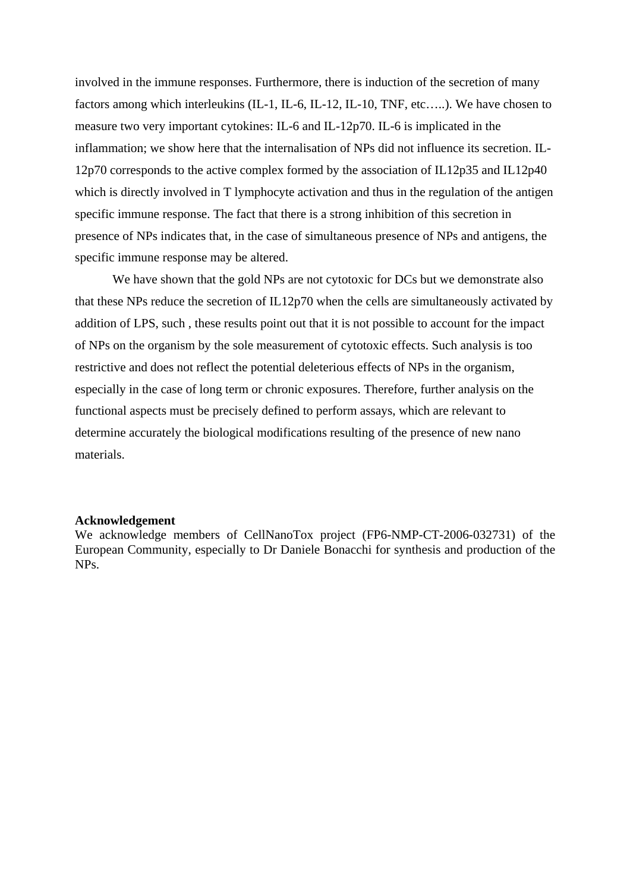involved in the immune responses. Furthermore, there is induction of the secretion of many factors among which interleukins (IL-1, IL-6, IL-12, IL-10, TNF, etc…..). We have chosen to measure two very important cytokines: IL-6 and IL-12p70. IL-6 is implicated in the inflammation; we show here that the internalisation of NPs did not influence its secretion. IL-12p70 corresponds to the active complex formed by the association of IL12p35 and IL12p40 which is directly involved in T lymphocyte activation and thus in the regulation of the antigen specific immune response. The fact that there is a strong inhibition of this secretion in presence of NPs indicates that, in the case of simultaneous presence of NPs and antigens, the specific immune response may be altered.

We have shown that the gold NPs are not cytotoxic for DCs but we demonstrate also that these NPs reduce the secretion of IL12p70 when the cells are simultaneously activated by addition of LPS, such , these results point out that it is not possible to account for the impact of NPs on the organism by the sole measurement of cytotoxic effects. Such analysis is too restrictive and does not reflect the potential deleterious effects of NPs in the organism, especially in the case of long term or chronic exposures. Therefore, further analysis on the functional aspects must be precisely defined to perform assays, which are relevant to determine accurately the biological modifications resulting of the presence of new nano materials.

#### **Acknowledgement**

We acknowledge members of CellNanoTox project (FP6-NMP-CT-2006-032731) of the European Community, especially to Dr Daniele Bonacchi for synthesis and production of the NPs.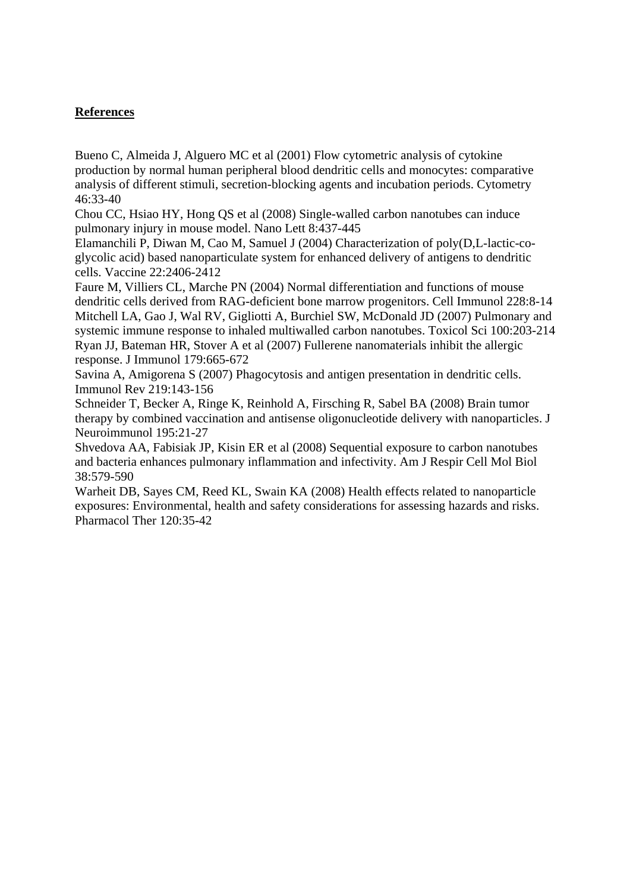## **References**

Bueno C, Almeida J, Alguero MC et al (2001) Flow cytometric analysis of cytokine production by normal human peripheral blood dendritic cells and monocytes: comparative analysis of different stimuli, secretion-blocking agents and incubation periods. Cytometry 46:33-40

Chou CC, Hsiao HY, Hong QS et al (2008) Single-walled carbon nanotubes can induce pulmonary injury in mouse model. Nano Lett 8:437-445

Elamanchili P, Diwan M, Cao M, Samuel J (2004) Characterization of poly(D,L-lactic-coglycolic acid) based nanoparticulate system for enhanced delivery of antigens to dendritic cells. Vaccine 22:2406-2412

Faure M, Villiers CL, Marche PN (2004) Normal differentiation and functions of mouse dendritic cells derived from RAG-deficient bone marrow progenitors. Cell Immunol 228:8-14 Mitchell LA, Gao J, Wal RV, Gigliotti A, Burchiel SW, McDonald JD (2007) Pulmonary and systemic immune response to inhaled multiwalled carbon nanotubes. Toxicol Sci 100:203-214 Ryan JJ, Bateman HR, Stover A et al (2007) Fullerene nanomaterials inhibit the allergic response. J Immunol 179:665-672

Savina A, Amigorena S (2007) Phagocytosis and antigen presentation in dendritic cells. Immunol Rev 219:143-156

Schneider T, Becker A, Ringe K, Reinhold A, Firsching R, Sabel BA (2008) Brain tumor therapy by combined vaccination and antisense oligonucleotide delivery with nanoparticles. J Neuroimmunol 195:21-27

Shvedova AA, Fabisiak JP, Kisin ER et al (2008) Sequential exposure to carbon nanotubes and bacteria enhances pulmonary inflammation and infectivity. Am J Respir Cell Mol Biol 38:579-590

Warheit DB, Sayes CM, Reed KL, Swain KA (2008) Health effects related to nanoparticle exposures: Environmental, health and safety considerations for assessing hazards and risks. Pharmacol Ther 120:35-42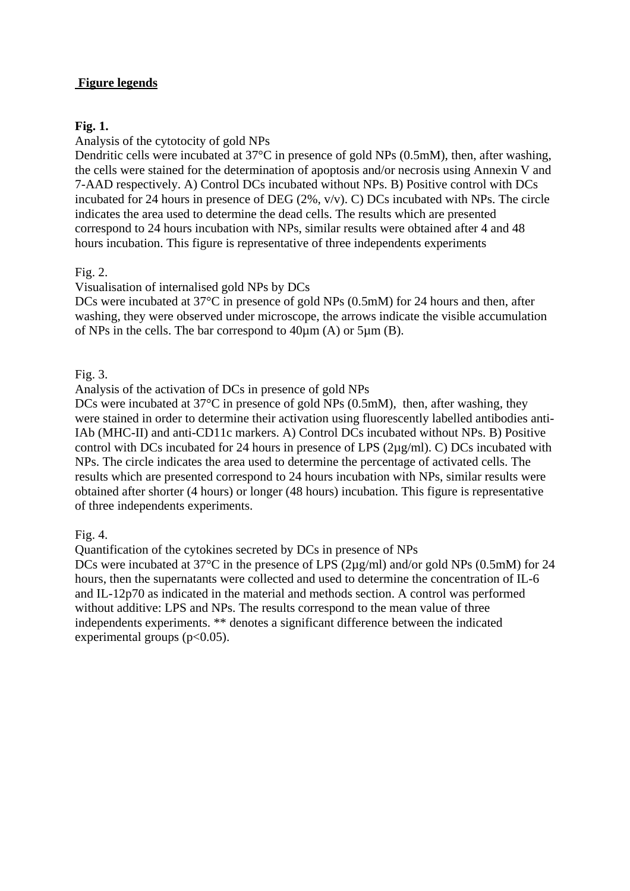# **Figure legends**

## **Fig. 1.**

Analysis of the cytotocity of gold NPs

Dendritic cells were incubated at 37°C in presence of gold NPs (0.5mM), then, after washing, the cells were stained for the determination of apoptosis and/or necrosis using Annexin V and 7-AAD respectively. A) Control DCs incubated without NPs. B) Positive control with DCs incubated for 24 hours in presence of DEG (2%, v/v). C) DCs incubated with NPs. The circle indicates the area used to determine the dead cells. The results which are presented correspond to 24 hours incubation with NPs, similar results were obtained after 4 and 48 hours incubation. This figure is representative of three independents experiments

Fig. 2.

Visualisation of internalised gold NPs by DCs

DCs were incubated at 37<sup>o</sup>C in presence of gold NPs (0.5mM) for 24 hours and then, after washing, they were observed under microscope, the arrows indicate the visible accumulation of NPs in the cells. The bar correspond to 40µm (A) or 5µm (B).

Fig. 3.

Analysis of the activation of DCs in presence of gold NPs

DCs were incubated at 37<sup>o</sup>C in presence of gold NPs (0.5mM), then, after washing, they were stained in order to determine their activation using fluorescently labelled antibodies anti-IAb (MHC-II) and anti-CD11c markers. A) Control DCs incubated without NPs. B) Positive control with DCs incubated for 24 hours in presence of LPS (2µg/ml). C) DCs incubated with NPs. The circle indicates the area used to determine the percentage of activated cells. The results which are presented correspond to 24 hours incubation with NPs, similar results were obtained after shorter (4 hours) or longer (48 hours) incubation. This figure is representative of three independents experiments.

Fig. 4.

Quantification of the cytokines secreted by DCs in presence of NPs DCs were incubated at 37<sup>o</sup>C in the presence of LPS (2µg/ml) and/or gold NPs (0.5mM) for 24 hours, then the supernatants were collected and used to determine the concentration of IL-6 and IL-12p70 as indicated in the material and methods section. A control was performed without additive: LPS and NPs. The results correspond to the mean value of three independents experiments. \*\* denotes a significant difference between the indicated experimental groups  $(p<0.05)$ .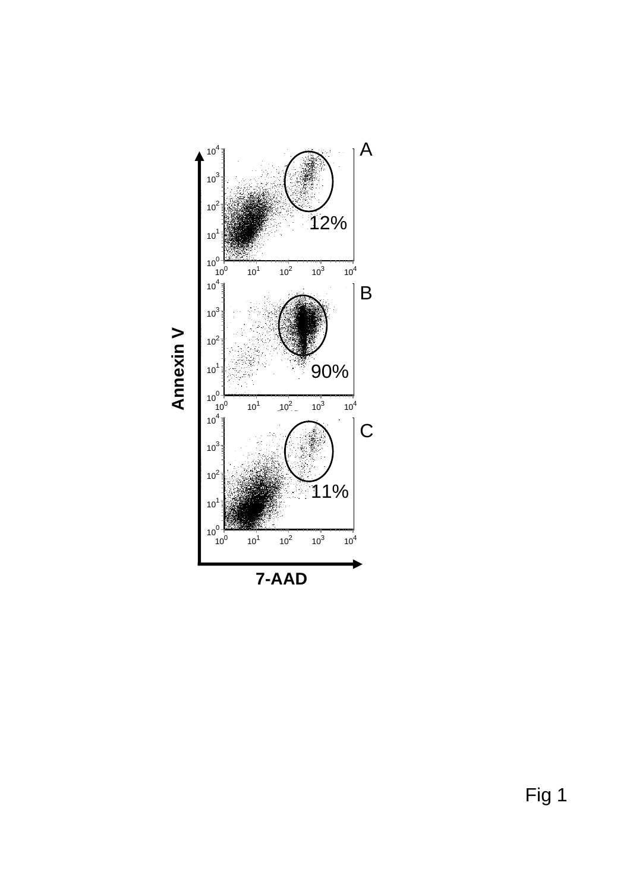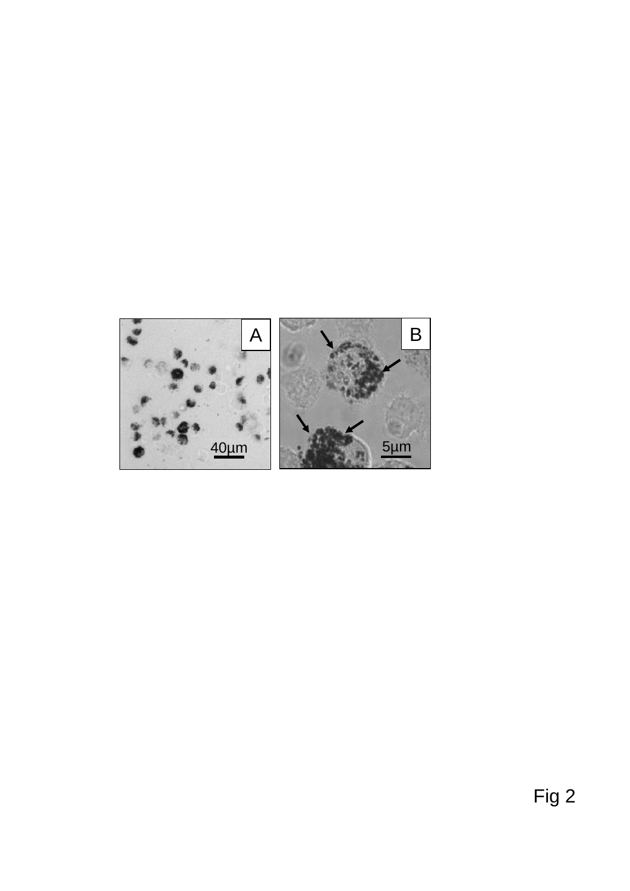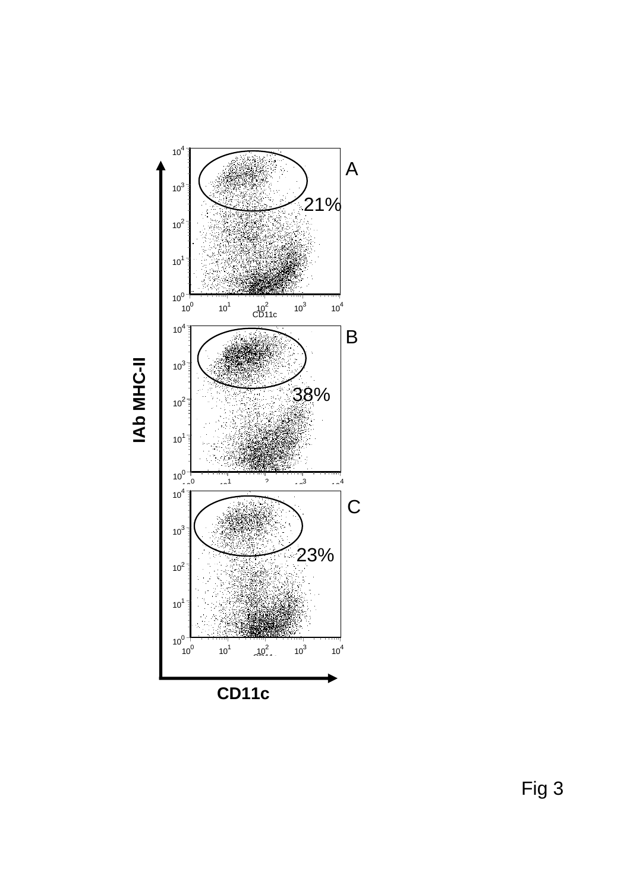

IAb MHC-II **IAb MHC-II**